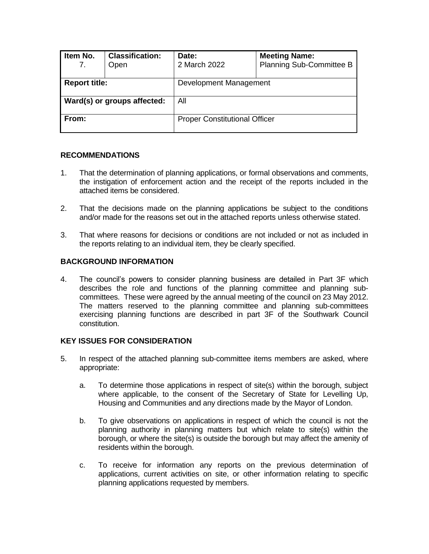| Item No.<br>7.              | <b>Classification:</b><br>Open | Date:<br>2 March 2022                | <b>Meeting Name:</b><br>Planning Sub-Committee B |  |
|-----------------------------|--------------------------------|--------------------------------------|--------------------------------------------------|--|
| <b>Report title:</b>        |                                | Development Management               |                                                  |  |
| Ward(s) or groups affected: |                                | All                                  |                                                  |  |
| From:                       |                                | <b>Proper Constitutional Officer</b> |                                                  |  |

### **RECOMMENDATIONS**

- 1. That the determination of planning applications, or formal observations and comments, the instigation of enforcement action and the receipt of the reports included in the attached items be considered.
- 2. That the decisions made on the planning applications be subject to the conditions and/or made for the reasons set out in the attached reports unless otherwise stated.
- 3. That where reasons for decisions or conditions are not included or not as included in the reports relating to an individual item, they be clearly specified.

#### **BACKGROUND INFORMATION**

4. The council's powers to consider planning business are detailed in Part 3F which describes the role and functions of the planning committee and planning subcommittees. These were agreed by the annual meeting of the council on 23 May 2012. The matters reserved to the planning committee and planning sub-committees exercising planning functions are described in part 3F of the Southwark Council constitution.

#### **KEY ISSUES FOR CONSIDERATION**

- 5. In respect of the attached planning sub-committee items members are asked, where appropriate:
	- a. To determine those applications in respect of site(s) within the borough, subject where applicable, to the consent of the Secretary of State for Levelling Up, Housing and Communities and any directions made by the Mayor of London.
	- b. To give observations on applications in respect of which the council is not the planning authority in planning matters but which relate to site(s) within the borough, or where the site(s) is outside the borough but may affect the amenity of residents within the borough.
	- c. To receive for information any reports on the previous determination of applications, current activities on site, or other information relating to specific planning applications requested by members.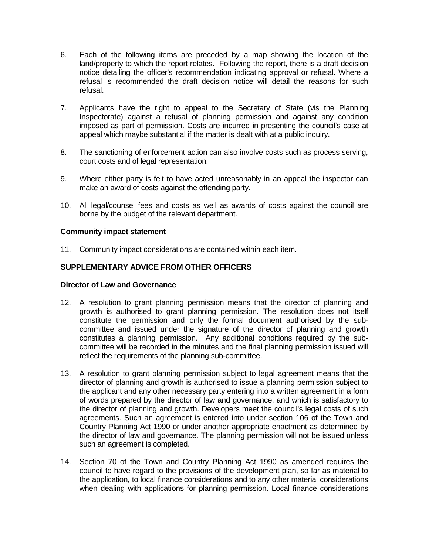- 6. Each of the following items are preceded by a map showing the location of the land/property to which the report relates. Following the report, there is a draft decision notice detailing the officer's recommendation indicating approval or refusal. Where a refusal is recommended the draft decision notice will detail the reasons for such refusal.
- 7. Applicants have the right to appeal to the Secretary of State (vis the Planning Inspectorate) against a refusal of planning permission and against any condition imposed as part of permission. Costs are incurred in presenting the council's case at appeal which maybe substantial if the matter is dealt with at a public inquiry.
- 8. The sanctioning of enforcement action can also involve costs such as process serving, court costs and of legal representation.
- 9. Where either party is felt to have acted unreasonably in an appeal the inspector can make an award of costs against the offending party.
- 10. All legal/counsel fees and costs as well as awards of costs against the council are borne by the budget of the relevant department.

#### **Community impact statement**

11. Community impact considerations are contained within each item.

## **SUPPLEMENTARY ADVICE FROM OTHER OFFICERS**

#### **Director of Law and Governance**

- 12. A resolution to grant planning permission means that the director of planning and growth is authorised to grant planning permission. The resolution does not itself constitute the permission and only the formal document authorised by the subcommittee and issued under the signature of the director of planning and growth constitutes a planning permission. Any additional conditions required by the subcommittee will be recorded in the minutes and the final planning permission issued will reflect the requirements of the planning sub-committee.
- 13. A resolution to grant planning permission subject to legal agreement means that the director of planning and growth is authorised to issue a planning permission subject to the applicant and any other necessary party entering into a written agreement in a form of words prepared by the director of law and governance, and which is satisfactory to the director of planning and growth. Developers meet the council's legal costs of such agreements. Such an agreement is entered into under section 106 of the Town and Country Planning Act 1990 or under another appropriate enactment as determined by the director of law and governance. The planning permission will not be issued unless such an agreement is completed.
- 14. Section 70 of the Town and Country Planning Act 1990 as amended requires the council to have regard to the provisions of the development plan, so far as material to the application, to local finance considerations and to any other material considerations when dealing with applications for planning permission. Local finance considerations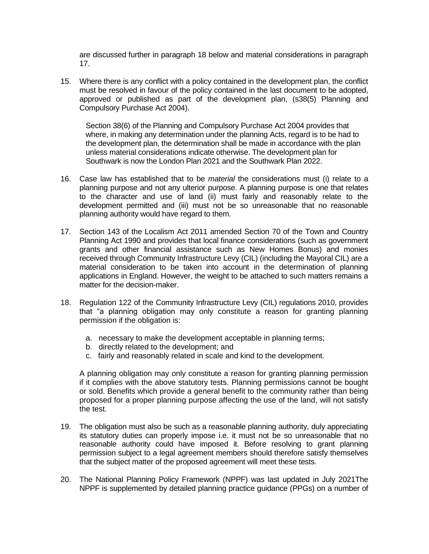are discussed further in paragraph 18 below and material considerations in paragraph 17.

15. Where there is any conflict with a policy contained in the development plan, the conflict must be resolved in favour of the policy contained in the last document to be adopted, approved or published as part of the development plan, (s38(5) Planning and Compulsory Purchase Act 2004).

Section 38(6) of the Planning and Compulsory Purchase Act 2004 provides that where, in making any determination under the planning Acts, regard is to be had to the development plan, the determination shall be made in accordance with the plan unless material considerations indicate otherwise. The development plan for Southwark is now the London Plan 2021 and the Southwark Plan 2022.

- 16. Case law has established that to be *material* the considerations must (i) relate to a planning purpose and not any ulterior purpose. A planning purpose is one that relates to the character and use of land (ii) must fairly and reasonably relate to the development permitted and (iii) must not be so unreasonable that no reasonable planning authority would have regard to them.
- 17. Section 143 of the Localism Act 2011 amended Section 70 of the Town and Country Planning Act 1990 and provides that local finance considerations (such as government grants and other financial assistance such as New Homes Bonus) and monies received through Community Infrastructure Levy (CIL) (including the Mayoral CIL) are a material consideration to be taken into account in the determination of planning applications in England. However, the weight to be attached to such matters remains a matter for the decision-maker.
- 18. Regulation 122 of the Community Infrastructure Levy (CIL) regulations 2010, provides that "a planning obligation may only constitute a reason for granting planning permission if the obligation is:
	- a. necessary to make the development acceptable in planning terms;
	- b. directly related to the development; and
	- c. fairly and reasonably related in scale and kind to the development.

A planning obligation may only constitute a reason for granting planning permission if it complies with the above statutory tests. Planning permissions cannot be bought or sold. Benefits which provide a general benefit to the community rather than being proposed for a proper planning purpose affecting the use of the land, will not satisfy the test.

- 19. The obligation must also be such as a reasonable planning authority, duly appreciating its statutory duties can properly impose i.e. it must not be so unreasonable that no reasonable authority could have imposed it. Before resolving to grant planning permission subject to a legal agreement members should therefore satisfy themselves that the subject matter of the proposed agreement will meet these tests.
- 20. The National Planning Policy Framework (NPPF) was last updated in July 2021The NPPF is supplemented by detailed planning practice guidance (PPGs) on a number of